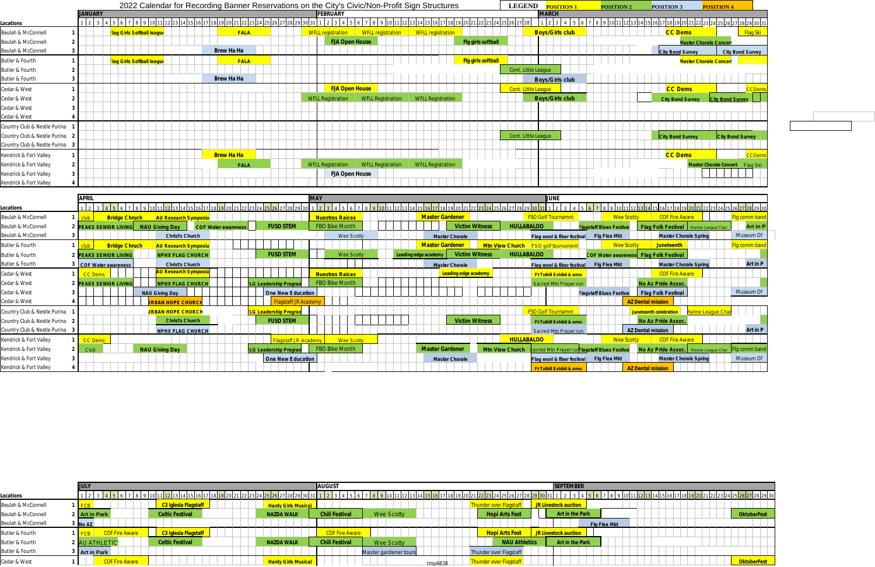|                                     |                |                                   |                   | 2022 Calendar for Recording Banner Reservations on the City's Civic/Non-Profit Sign Structures |                           | <b>LEGEND</b><br><b>POSITION 1</b> | <b>POSITION 2</b><br><b>POSITION 3</b> | <b>POSITION 4</b>                         |
|-------------------------------------|----------------|-----------------------------------|-------------------|------------------------------------------------------------------------------------------------|---------------------------|------------------------------------|----------------------------------------|-------------------------------------------|
|                                     | <b>JANUARY</b> |                                   |                   | <b>FEBRUARY</b>                                                                                |                           | <b>MARCH</b>                       |                                        |                                           |
| Locations                           |                |                                   |                   |                                                                                                |                           |                                    |                                        | <u>22 23 24 25 26 27 28 29 30 31</u>      |
| Beulah & McConnell                  |                | <b>Flag Girls Softball league</b> | <b>FALA</b>       | WFLL registration<br><b>WFLL registration</b>                                                  | <b>WFLL registration</b>  | <b>Boys/Girls club</b>             | <b>CC Dems</b>                         | <mark>Flag Ski</mark>                     |
| Beulah & McConnell                  |                |                                   |                   | <b>FJA Open House</b>                                                                          | Fig girls softball        |                                    |                                        | <b>Master Chorale Concer</b>              |
| Beulah & McConnell                  |                |                                   | <b>Brew Ha Ha</b> |                                                                                                |                           |                                    | <b>City Bond Survey</b>                | <b>City Bond Survey</b>                   |
| Butler & Fourth                     |                | Flag Girls Softball league        | <b>FALA</b>       |                                                                                                | <b>Fig girls softball</b> |                                    |                                        | <b>Vlaster Chorale Concer</b><br>lad Skil |
| Butler & Fourth                     |                |                                   |                   |                                                                                                |                           | Cont. Little League                |                                        |                                           |
| Butler & Fourth                     |                |                                   | <b>Brew Ha Ha</b> |                                                                                                |                           | <b>Boys/Girls club</b>             |                                        |                                           |
| Cedar & West                        |                |                                   |                   | <b>FJA Open House</b>                                                                          |                           | Cont. Little League                | <b>CC Dems</b>                         |                                           |
| Cedar & West                        |                |                                   |                   | <b>WFLL Registration</b><br><b>WFLL Registration</b>                                           | <b>WFLL Registration</b>  | <b>Boys/Girls club</b>             | <b>City Bond Survey</b>                | <b>City Bond Survey</b>                   |
| Cedar & West                        |                |                                   |                   |                                                                                                |                           |                                    |                                        |                                           |
| Cedar & West                        |                |                                   |                   |                                                                                                |                           |                                    |                                        |                                           |
| Country Club & Nestle Purina        |                |                                   |                   |                                                                                                |                           |                                    |                                        |                                           |
| Country Club & Nestle Purina 2      |                |                                   |                   |                                                                                                |                           | Cont. Little League                | <b>City Bond Survey</b>                | <b>City Bond Survey</b>                   |
| Country Club & Nestle Purina<br>- 3 |                |                                   |                   |                                                                                                |                           |                                    |                                        |                                           |
| Kendrick & Fort Valley              |                |                                   | <b>Brew Ha Ha</b> |                                                                                                |                           |                                    | <b>CC Dems</b>                         | <b>CCDems</b>                             |
| Kendrick & Fort Valley              |                |                                   | <b>FALA</b>       | <b>WFLL Registration</b><br><b>WFLL Registration</b>                                           | <b>WFLL Registration</b>  |                                    |                                        | Master Chorale Concert Flag Ski           |
| Kendrick & Fort Valley              |                |                                   |                   | <b>FJA Open House</b>                                                                          |                           |                                    |                                        |                                           |
| Kendrick & Fort Valley              |                |                                   |                   |                                                                                                |                           |                                    |                                        |                                           |
|                                     |                |                                   |                   |                                                                                                |                           |                                    |                                        |                                           |

|                                | <b>APRIL</b> |                            |                             |                            |                              | <b>MAY</b>             |                       |                      |                        |                       |                        | <b>LUNE</b>                          |                                            |                                        |                                          |                |
|--------------------------------|--------------|----------------------------|-----------------------------|----------------------------|------------------------------|------------------------|-----------------------|----------------------|------------------------|-----------------------|------------------------|--------------------------------------|--------------------------------------------|----------------------------------------|------------------------------------------|----------------|
| Locations                      |              |                            |                             |                            |                              |                        |                       |                      |                        |                       |                        |                                      |                                            |                                        |                                          |                |
| Beulah & McConnell             |              | <b>Bridge Chruch</b>       | <b>AU Research Symposiu</b> |                            |                              | <b>Nuestras Raices</b> |                       |                      | <b>Master Gardener</b> |                       |                        | <b>FSO Golf Tournamnt</b>            | <b>Wee Scotty</b>                          | <b>COF Fire Awar</b>                   |                                          | lg comm band   |
| Beulah & McConnell             |              | PEAKS SENIOR LIVING        | NAU Giving Day              | <b>COF Water awareness</b> | <b>FUSD STEM</b>             | <b>FBO Bike Month</b>  |                       |                      |                        | <b>Victim Witness</b> | <b>HULLABALOO</b>      |                                      | <b>Flagstaff Blues Festiva</b>             |                                        | Flag Folk Festival   Marine League Char. | Art in P       |
| Beulah & McConnell             |              |                            | <b>Christ's Church</b>      |                            |                              | Wee Scotty             |                       |                      | <b>Master Chorale</b>  |                       |                        | Flag wool & fiber festival           | <b>Flg Flea Mkt</b>                        |                                        | <b>Master Chorale Spring</b>             | Museum Of      |
| Butler & Fourth                | club         | <b>Bridge Chruch</b>       | <b>AU Research Symposiu</b> |                            |                              |                        |                       |                      | <b>Master Gardener</b> |                       | <b>Mtn View Church</b> | <b>FSO</b> golf tournamer            | <b>Wee Scotty</b>                          | <b>Juneteenth</b>                      |                                          | Iq comm band   |
| Butler & Fourth                |              | 2 PEAKS SENIOR LIVING      | <b>NPHX FLAG CHURCH</b>     |                            | <b>FUSD STEM</b>             | <b>Wee Scotty</b>      |                       | Leading edge academy |                        | <b>Victim Witness</b> | <b>HULLABALOO</b>      |                                      |                                            | COF Water awareness Flag Folk Festival |                                          |                |
| Butler & Fourth                |              | $\sim$ COF Water awareness | <b>Christ's Church</b>      |                            |                              |                        |                       |                      | <b>Master Chorale</b>  |                       |                        | Flag wool & fiber festival           | <b>Flg Flea Mkt</b>                        |                                        | <b>Master Chorale Spring</b>             | Art in P       |
| Cedar & West                   |              | CC Demi                    | <u>U Research Sympos</u>    |                            |                              | <b>Nuestras Raices</b> |                       |                      | Leading edge academy   |                       |                        | <b>Ft Tuthill Exhibit &amp; arms</b> |                                            | <b>COF Fire Aware</b>                  |                                          |                |
| Cedar & West                   |              | 2 PEAKS SENIOR LIVING      | <b>JPHX FLAG CHURC</b>      |                            |                              |                        | <b>FBO Bike Month</b> |                      |                        |                       |                        | Sacred Mtn Praver ru                 |                                            | <b>No Az Pride Assoc.</b>              |                                          |                |
| Cedar & West                   |              |                            | <b>NAU Giving Day</b>       |                            | One New Education            |                        |                       |                      |                        |                       |                        |                                      | <b>Flagstaff Blues Festival</b>            | <b>Flag Folk Festival</b>              |                                          | Museum Of      |
| Cedar & West                   |              |                            |                             |                            |                              |                        |                       |                      |                        |                       |                        |                                      |                                            | <b>AZ Dental mission</b>               |                                          |                |
| Country Club & Nestle Purina   |              |                            | <b>JRBAN HOPE CHURCH</b>    |                            | <b>FLG Leadership Progra</b> |                        |                       |                      |                        |                       |                        | <b>SO Golf Tournamnt</b>             |                                            |                                        |                                          |                |
| Country Club & Nestle Purina 2 |              |                            | <b>Christ's Church</b>      |                            | <b>FUSD STEM</b>             |                        |                       |                      |                        | <b>Victim Witness</b> |                        | Ft Tuthill Exhibit & arms            |                                            | No Az Pride Assoc.                     |                                          |                |
| Country Club & Nestle Purina 3 |              |                            | <b>NPHX FLAG CHURCH</b>     |                            |                              |                        |                       |                      |                        |                       |                        | Sacred Mtn Prayer run                |                                            | <b>AZ Dental mission</b>               |                                          | Art in P       |
| Kendrick & Fort Valley         |              | <b>CC Dems</b>             |                             |                            | <b>Flagstaff IR Academy</b>  | <b>Wee Scotty</b>      |                       |                      |                        |                       | <b>HULLABALOO</b>      |                                      | <b>Wee Scotty</b>                          | <b>COF Fire Awar</b>                   |                                          |                |
| Kendrick & Fort Valley         | Club         |                            | <b>NAU Giving Day</b>       |                            | <b>ELG Leadership Progr</b>  | <b>FBO Bike Month</b>  |                       |                      | <b>Master Gardener</b> |                       | <b>Mtn View Church</b> |                                      | acred Mtn Praver rurFlagstaff Blues Festiv | No Az Pride Assoc.                     |                                          | Fla comm bandl |
| Kendrick & Fort Valley         |              |                            |                             |                            | One New Education            |                        |                       |                      | <b>Master Chorale</b>  |                       |                        | Flag wool & fiber festival           | Fig Flea Mkt                               |                                        | <b>Master Chorale Spring</b>             | Museum Of      |
| Kendrick & Fort Valley         |              |                            |                             |                            |                              |                        |                       |                      |                        |                       |                        | <b>Ft Tuthill Exhibit &amp; arms</b> |                                            | <b>AZ Dental mission</b>               |                                          |                |

| <u>[2</u> |              |                                         | <b>POSITION 3</b> |  |                         |  |                               |  | <b>POSITION 4</b>       |  |                         |  |
|-----------|--------------|-----------------------------------------|-------------------|--|-------------------------|--|-------------------------------|--|-------------------------|--|-------------------------|--|
|           |              |                                         |                   |  |                         |  |                               |  |                         |  |                         |  |
|           |              | 213141516171819202122232425262728293031 |                   |  |                         |  |                               |  |                         |  |                         |  |
|           |              |                                         |                   |  | <b>CC Dems</b>          |  |                               |  |                         |  | Flag Ski                |  |
|           |              |                                         |                   |  |                         |  | Master Chorale Concert        |  |                         |  |                         |  |
|           |              |                                         |                   |  | <b>City Bond Survey</b> |  |                               |  |                         |  | <b>City Bond Survey</b> |  |
|           |              |                                         |                   |  |                         |  | <b>Master Chorale Concer</b>  |  |                         |  | Flag Ski                |  |
|           |              |                                         |                   |  |                         |  |                               |  |                         |  |                         |  |
|           |              |                                         |                   |  |                         |  |                               |  |                         |  |                         |  |
|           |              |                                         |                   |  | <b>CC Dems</b>          |  |                               |  |                         |  | <b>CCDems</b>           |  |
|           |              |                                         |                   |  |                         |  |                               |  |                         |  |                         |  |
|           |              |                                         |                   |  | <b>City Bond Survey</b> |  |                               |  | <b>City Bond Survey</b> |  |                         |  |
|           |              |                                         |                   |  |                         |  |                               |  |                         |  |                         |  |
|           |              |                                         |                   |  |                         |  |                               |  |                         |  |                         |  |
|           |              |                                         |                   |  |                         |  |                               |  |                         |  |                         |  |
|           |              |                                         |                   |  | <b>City Bond Survey</b> |  |                               |  | <b>City Bond Survey</b> |  |                         |  |
|           |              |                                         |                   |  |                         |  |                               |  |                         |  |                         |  |
|           |              |                                         |                   |  | <b>CC Dems</b>          |  |                               |  |                         |  | <b>CCDems</b>           |  |
|           |              |                                         |                   |  |                         |  | <b>Master Chorale Concert</b> |  |                         |  | Flag Ski                |  |
|           |              |                                         |                   |  |                         |  |                               |  |                         |  |                         |  |
|           |              |                                         |                   |  |                         |  |                               |  |                         |  |                         |  |
|           |              |                                         |                   |  |                         |  |                               |  |                         |  |                         |  |
|           |              |                                         |                   |  |                         |  |                               |  |                         |  |                         |  |
|           |              |                                         |                   |  |                         |  |                               |  |                         |  |                         |  |
| cotty     |              |                                         |                   |  |                         |  |                               |  |                         |  |                         |  |
|           |              |                                         |                   |  | <b>COF Fire Aware</b>   |  |                               |  |                         |  | <b>Flg comm band</b>    |  |
| al        |              | Flag Folk Festival Marine League Char.  |                   |  |                         |  |                               |  |                         |  | Art in P                |  |
|           |              |                                         |                   |  |                         |  | <b>Master Chorale Spring</b>  |  |                         |  | Museum Of               |  |
|           | <b>Cotty</b> |                                         |                   |  | <b>Juneteenth</b>       |  |                               |  |                         |  | Flg comm band           |  |
|           |              | ness Flag Folk Festival                 |                   |  |                         |  |                               |  |                         |  |                         |  |
|           |              |                                         |                   |  |                         |  | <b>Master Chorale Spring</b>  |  |                         |  | Art in P                |  |
|           |              |                                         |                   |  | <b>COF Fire Aware</b>   |  |                               |  |                         |  |                         |  |
|           |              | No Az Pride Assoc.                      |                   |  |                         |  |                               |  |                         |  |                         |  |
| al        |              | <b>Flag Folk Festival</b>               |                   |  |                         |  |                               |  |                         |  | Museum Of               |  |
|           |              | <b>AZ Dental mission</b>                |                   |  |                         |  |                               |  |                         |  |                         |  |
|           |              | Juneteenth celebration                  |                   |  |                         |  | <b>Aarine League Char</b>     |  |                         |  |                         |  |
|           |              | No Az Pride Assoc.                      |                   |  |                         |  |                               |  |                         |  |                         |  |
|           |              | <b>AZ Dental mission</b>                |                   |  |                         |  |                               |  |                         |  | Art in P                |  |
|           | <b>Cotty</b> |                                         |                   |  | <b>COF Fire Aware</b>   |  |                               |  |                         |  |                         |  |
|           |              | No Az Pride Assoc.                      |                   |  |                         |  | Marine League Char            |  |                         |  | Fig comm band           |  |
| al        |              |                                         |                   |  |                         |  | <b>Master Chorale Spring</b>  |  |                         |  | Museum Of               |  |

|  |  |  |  |  |  |  |  | 02128 29 30 12 14 15 16 17 18 19 20 21 22 22 23 24 25 26 27 28 29 30 |  |
|--|--|--|--|--|--|--|--|----------------------------------------------------------------------|--|
|  |  |  |  |  |  |  |  |                                                                      |  |
|  |  |  |  |  |  |  |  | <b>OktoberFest</b>                                                   |  |
|  |  |  |  |  |  |  |  |                                                                      |  |
|  |  |  |  |  |  |  |  |                                                                      |  |
|  |  |  |  |  |  |  |  |                                                                      |  |
|  |  |  |  |  |  |  |  |                                                                      |  |
|  |  |  |  |  |  |  |  | <b>OktoberFest</b>                                                   |  |

|                    |                       |                        |                            | <b>AUGUST</b>         |                       |         |                        | <b>SEPTEMBER</b>            |              |  |                    |
|--------------------|-----------------------|------------------------|----------------------------|-----------------------|-----------------------|---------|------------------------|-----------------------------|--------------|--|--------------------|
| Locations          |                       |                        |                            |                       |                       |         |                        |                             |              |  |                    |
| Beulah & McConnell |                       | C3 Iglesia Flagstaff   | <b>Hardy Girls Musical</b> |                       |                       |         |                        | <b>JR Livestock auction</b> |              |  |                    |
| Beulah & McConnell | 2 Art in Park         | <b>Celtic Festival</b> | <b>NAZDA WALK</b>          | <b>Chili Festival</b> | Wee Scotty            |         | <b>Hopi Arts Fest</b>  | Art in the Park             |              |  | <b>OktoberFest</b> |
| Beulah & McConnell | $\frac{1}{2}$ No AZ   |                        |                            |                       |                       |         |                        |                             | Flg Flea Mkt |  |                    |
| Butler & Fourth    | <b>COF Fire Aware</b> | C3 Iglesia Flagstaff   |                            | <b>COF Fire Aware</b> |                       |         | <b>Hopi Arts Fest</b>  | JR Livestock auction        |              |  |                    |
| Butler & Fourth    | 2 AU ATHLETIC         | <b>Celtic Festival</b> | <b>NAZDA WALK</b>          | <b>Chili Festival</b> | Wee Scotty            |         | <b>NAU Athletics</b>   | Art in the Park             |              |  |                    |
| Butler & Fourth    | Art in Park           |                        |                            |                       | Master gardener tours |         | Thunder over Flagstaff |                             |              |  |                    |
| Cedar & West       | <b>COF Fire Aware</b> |                        | <b>Hardy Girls Musical</b> |                       |                       | tmpAB38 | Thunder over Flagstaf  |                             |              |  | <b>OktoberFest</b> |
|                    |                       |                        |                            |                       |                       |         |                        |                             |              |  |                    |